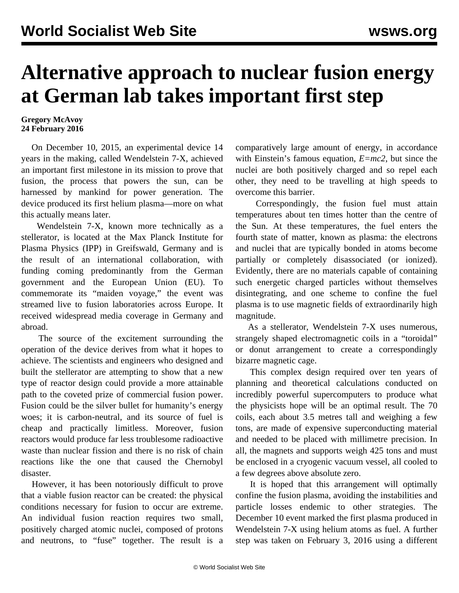## **Alternative approach to nuclear fusion energy at German lab takes important first step**

## **Gregory McAvoy 24 February 2016**

 On December 10, 2015, an experimental device 14 years in the making, called Wendelstein 7-X, achieved an important first milestone in its mission to prove that fusion, the process that powers the sun, can be harnessed by mankind for power generation. The device produced its first helium plasma—more on what this actually means later.

 Wendelstein 7-X, known more technically as a stellerator, is located at the Max Planck Institute for Plasma Physics (IPP) in Greifswald, Germany and is the result of an international collaboration, with funding coming predominantly from the German government and the European Union (EU). To commemorate its "maiden voyage," the event was streamed live to fusion laboratories across Europe. It received widespread media coverage in Germany and abroad.

 The source of the excitement surrounding the operation of the device derives from what it hopes to achieve. The scientists and engineers who designed and built the stellerator are attempting to show that a new type of reactor design could provide a more attainable path to the coveted prize of commercial fusion power. Fusion could be the silver bullet for humanity's energy woes; it is carbon-neutral, and its source of fuel is cheap and practically limitless. Moreover, fusion reactors would produce far less troublesome radioactive waste than nuclear fission and there is no risk of chain reactions like the one that caused the [Chernobyl](/en/articles/2011/06/fuku-j04.html) [disaster](/en/articles/2011/06/fuku-j04.html).

 However, it has been notoriously difficult to prove that a viable fusion reactor can be created: the physical conditions necessary for fusion to occur are extreme. An [individual fusion reaction](https://en.wikipedia.org/wiki/Nuclear_fusion) requires two small, positively charged atomic nuclei, composed of protons and neutrons, to "fuse" together. The result is a comparatively large amount of energy, in accordance with Einstein's famous equation, *E=mc2*, but since the nuclei are both positively charged and so repel each other, they need to be travelling at high speeds to overcome this barrier.

 Correspondingly, the fusion fuel must attain temperatures about ten times hotter than the centre of the Sun. At these temperatures, the fuel enters the fourth state of matter, known as plasma: the electrons and nuclei that are typically bonded in atoms become partially or completely disassociated (or ionized). Evidently, there are no materials capable of containing such energetic charged particles without themselves disintegrating, and one scheme to confine the fuel plasma is to use magnetic fields of extraordinarily high magnitude.

 As a stellerator, Wendelstein 7-X uses numerous, strangely shaped electromagnetic coils in a "toroidal" or donut arrangement to create a correspondingly bizarre magnetic cage.

 This complex design required over ten years of planning and theoretical calculations conducted on incredibly powerful supercomputers to produce what the physicists hope will be an optimal result. The 70 coils, each about 3.5 metres tall and weighing a few tons, are made of expensive superconducting material and needed to be placed with millimetre precision. In all, the magnets and supports weigh 425 tons and must be enclosed in a cryogenic vacuum vessel, all cooled to a few degrees above absolute zero.

 It is hoped that this arrangement will optimally confine the fusion plasma, avoiding the instabilities and particle losses endemic to other strategies. The December 10 event marked the first plasma produced in Wendelstein 7-X using helium atoms as fuel. A further step was taken on February 3, 2016 using a different